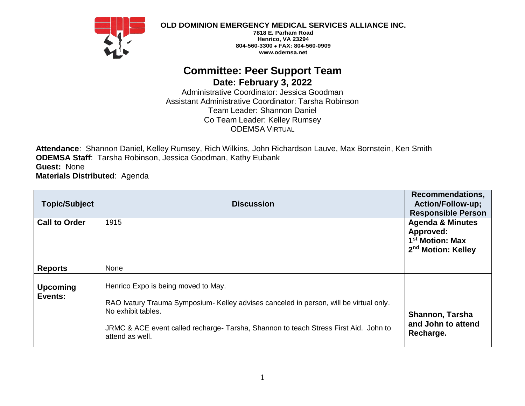

**OLD DOMINION EMERGENCY MEDICAL SERVICES ALLIANCE INC.**

**7818 E. Parham Road Henrico, VA 23294 804-560-3300 FAX: 804-560-0909 www.odemsa.net**

## **Committee: Peer Support Team Date: February 3, 2022**

Administrative Coordinator: Jessica Goodman Assistant Administrative Coordinator: Tarsha Robinson Team Leader: Shannon Daniel Co Team Leader: Kelley Rumsey ODEMSA VIRTUAL

**Attendance**: Shannon Daniel, Kelley Rumsey, Rich Wilkins, John Richardson Lauve, Max Bornstein, Ken Smith **ODEMSA Staff**: Tarsha Robinson, Jessica Goodman, Kathy Eubank **Guest:** None **Materials Distributed**: Agenda

| <b>Topic/Subject</b>       | <b>Discussion</b>                                                                                                                                                                                                                                              | <b>Recommendations,</b><br><b>Action/Follow-up;</b><br><b>Responsible Person</b>                          |
|----------------------------|----------------------------------------------------------------------------------------------------------------------------------------------------------------------------------------------------------------------------------------------------------------|-----------------------------------------------------------------------------------------------------------|
| <b>Call to Order</b>       | 1915                                                                                                                                                                                                                                                           | <b>Agenda &amp; Minutes</b><br>Approved:<br>1 <sup>st</sup> Motion: Max<br>2 <sup>nd</sup> Motion: Kelley |
| <b>Reports</b>             | None                                                                                                                                                                                                                                                           |                                                                                                           |
| <b>Upcoming</b><br>Events: | Henrico Expo is being moved to May.<br>RAO Ivatury Trauma Symposium- Kelley advises canceled in person, will be virtual only.<br>No exhibit tables.<br>JRMC & ACE event called recharge- Tarsha, Shannon to teach Stress First Aid. John to<br>attend as well. | <b>Shannon, Tarsha</b><br>and John to attend<br>Recharge.                                                 |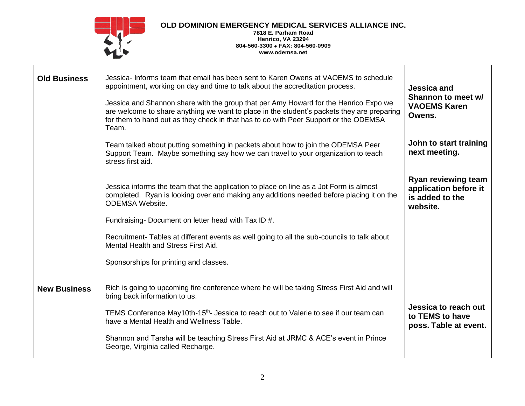

## **OLD DOMINION EMERGENCY MEDICAL SERVICES ALLIANCE INC.**

**7818 E. Parham Road Henrico, VA 23294 804-560-3300 FAX: 804-560-0909 www.odemsa.net**

| <b>Old Business</b> | Jessica-Informs team that email has been sent to Karen Owens at VAOEMS to schedule<br>appointment, working on day and time to talk about the accreditation process.<br>Jessica and Shannon share with the group that per Amy Howard for the Henrico Expo we<br>are welcome to share anything we want to place in the student's packets they are preparing<br>for them to hand out as they check in that has to do with Peer Support or the ODEMSA<br>Team.<br>Team talked about putting something in packets about how to join the ODEMSA Peer<br>Support Team. Maybe something say how we can travel to your organization to teach<br>stress first aid. | <b>Jessica and</b><br>Shannon to meet w/<br><b>VAOEMS Karen</b><br>Owens.<br>John to start training<br>next meeting.<br><b>Ryan reviewing team</b> |
|---------------------|----------------------------------------------------------------------------------------------------------------------------------------------------------------------------------------------------------------------------------------------------------------------------------------------------------------------------------------------------------------------------------------------------------------------------------------------------------------------------------------------------------------------------------------------------------------------------------------------------------------------------------------------------------|----------------------------------------------------------------------------------------------------------------------------------------------------|
|                     | Jessica informs the team that the application to place on line as a Jot Form is almost<br>completed. Ryan is looking over and making any additions needed before placing it on the<br><b>ODEMSA Website.</b><br>Fundraising-Document on letter head with Tax ID #.<br>Recruitment- Tables at different events as well going to all the sub-councils to talk about<br>Mental Health and Stress First Aid.<br>Sponsorships for printing and classes.                                                                                                                                                                                                       | application before it<br>is added to the<br>website.                                                                                               |
| <b>New Business</b> | Rich is going to upcoming fire conference where he will be taking Stress First Aid and will<br>bring back information to us.<br>TEMS Conference May10th-15 <sup>th</sup> - Jessica to reach out to Valerie to see if our team can<br>have a Mental Health and Wellness Table.<br>Shannon and Tarsha will be teaching Stress First Aid at JRMC & ACE's event in Prince<br>George, Virginia called Recharge.                                                                                                                                                                                                                                               | Jessica to reach out<br>to TEMS to have<br>poss. Table at event.                                                                                   |